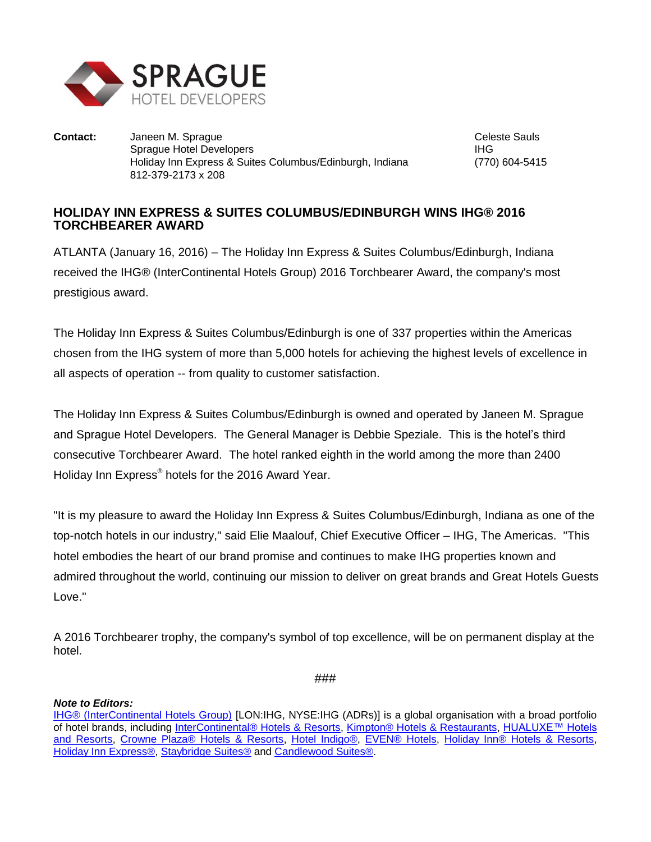

**Contact:** Janeen M. Sprague Celeste Sauls Celeste Sauls Sprague Hotel Developers **IHG** Holiday Inn Express & Suites Columbus/Edinburgh, Indiana (770) 604-5415 812-379-2173 x 208

## **HOLIDAY INN EXPRESS & SUITES COLUMBUS/EDINBURGH WINS IHG® 2016 TORCHBEARER AWARD**

ATLANTA (January 16, 2016) – The Holiday Inn Express & Suites Columbus/Edinburgh, Indiana received the IHG® (InterContinental Hotels Group) 2016 Torchbearer Award, the company's most prestigious award.

The Holiday Inn Express & Suites Columbus/Edinburgh is one of 337 properties within the Americas chosen from the IHG system of more than 5,000 hotels for achieving the highest levels of excellence in all aspects of operation -- from quality to customer satisfaction.

The Holiday Inn Express & Suites Columbus/Edinburgh is owned and operated by Janeen M. Sprague and Sprague Hotel Developers. The General Manager is Debbie Speziale. This is the hotel's third consecutive Torchbearer Award. The hotel ranked eighth in the world among the more than 2400 Holiday Inn Express® hotels for the 2016 Award Year.

"It is my pleasure to award the Holiday Inn Express & Suites Columbus/Edinburgh, Indiana as one of the top-notch hotels in our industry," said Elie Maalouf, Chief Executive Officer – IHG, The Americas. "This hotel embodies the heart of our brand promise and continues to make IHG properties known and admired throughout the world, continuing our mission to deliver on great brands and Great Hotels Guests Love."

A 2016 Torchbearer trophy, the company's symbol of top excellence, will be on permanent display at the hotel.

###

## *Note to Editors:*

[IHG® \(InterContinental Hotels Group\)](http://www.ihgplc.com/index.asp) [LON:IHG, NYSE:IHG (ADRs)] is a global organisation with a broad portfolio of hotel brands, including [InterContinental® Hotels & Resorts,](http://www.intercontinental.com/hotels/gb/en/reservation) [Kimpton® Hotels & Restaurants,](https://www.kimptonhotels.com/) HUALUXE™ Hotels [and Resorts,](http://cn.ihg.com/hualuxe?scmisc=header_vn) [Crowne Plaza® Hotels & Resorts,](http://www.ihg.com/crowneplaza/hotels/gb/en/reservation) [Hotel Indigo®,](http://www.ihg.com/hotelindigo/hotels/us/en/reservation) [EVEN® Hotels,](http://www.ihg.com/evenhotels/hotels/us/en/reservation) [Holiday Inn® Hotels & Resorts,](http://www.ihg.com/holidayinn/hotels/gb/en/reservation) [Holiday Inn Express®,](http://www.ihg.com/holidayinnexpress/hotels/gb/en/reservation) [Staybridge Suites®](http://www.ihg.com/staybridge/hotels/gb/en/reservation) and [Candlewood Suites®.](http://www.ihg.com/candlewood/hotels/us/en/reservation)